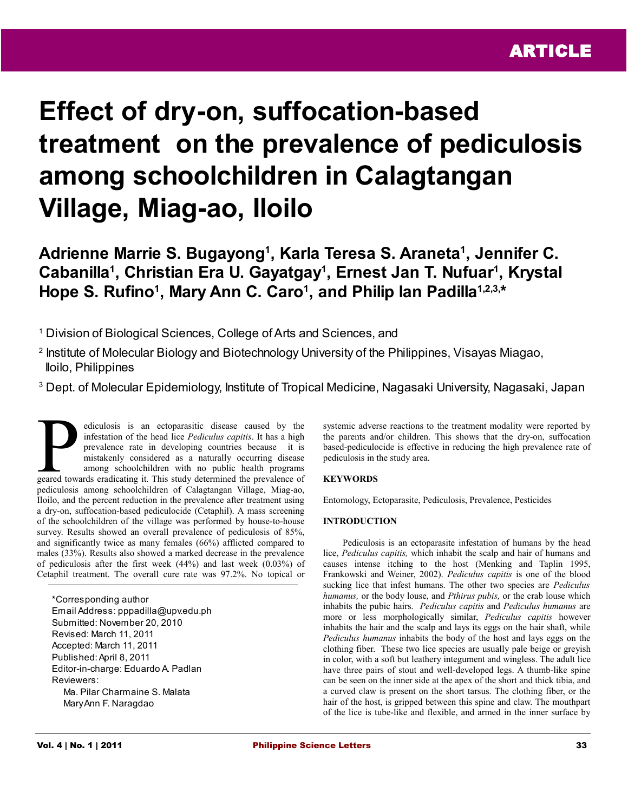# **Effect of dry-on, suffocation-based treatment on the prevalence of pediculosis among schoolchildren in Calagtangan Village, Miag-ao, Iloilo**

# **Adrienne Marrie S. Bugayong<sup>1</sup> , Karla Teresa S. Araneta<sup>1</sup> , Jennifer C. Cabanilla<sup>1</sup> , Christian Era U. Gayatgay<sup>1</sup> , Ernest Jan T. Nufuar<sup>1</sup> , Krystal**  Hope S. Rufino<sup>1</sup>, Mary Ann C. Caro<sup>1</sup>, and Philip Ian Padilla<sup>1,2,3,\*</sup>

<sup>1</sup> Division of Biological Sciences, College of Arts and Sciences, and

- 2 Institute of Molecular Biology and Biotechnology University of the Philippines, Visayas Miagao, Iloilo, Philippines
- <sup>3</sup> Dept. of Molecular Epidemiology, Institute of Tropical Medicine, Nagasaki University, Nagasaki, Japan

ediculosis is an ectoparasitic disease caused by the infestation of the head lice *Pediculus capitis*. It has a high prevalence rate in developing countries because it is mistakenly considered as a naturally occurring disease among schoolchildren with no public health programs ediculosis is an ectoparasitic disease caused by the infestation of the head lice *Pediculus capitis*. It has a high prevalence rate in developing countries because it is mistakenly considered as a naturally occurring dise pediculosis among schoolchildren of Calagtangan Village, Miag-ao, Iloilo, and the percent reduction in the prevalence after treatment using a dry-on, suffocation-based pediculocide (Cetaphil). A mass screening of the schoolchildren of the village was performed by house-to-house survey. Results showed an overall prevalence of pediculosis of 85%, and significantly twice as many females (66%) afflicted compared to males (33%). Results also showed a marked decrease in the prevalence of pediculosis after the first week (44%) and last week (0.03%) of Cetaphil treatment. The overall cure rate was 97.2%. No topical or

\*Corresponding author Email Address: pppadilla@upv.edu.ph Submitted: November 20, 2010 Revised: March 11, 2011 Accepted: March 11, 2011 Published: April 8, 2011 Editor-in-charge: Eduardo A. Padlan Reviewers: Ma. Pilar Charmaine S. Malata Mary Ann F. Naragdao

systemic adverse reactions to the treatment modality were reported by the parents and/or children. This shows that the dry-on, suffocation based-pediculocide is effective in reducing the high prevalence rate of pediculosis in the study area.

## **KEYWORDS**

Entomology, Ectoparasite, Pediculosis, Prevalence, Pesticides

#### **INTRODUCTION**

Pediculosis is an ectoparasite infestation of humans by the head lice, *Pediculus capitis,* which inhabit the scalp and hair of humans and causes intense itching to the host (Menking and Taplin 1995, Frankowski and Weiner, 2002). *Pediculus capitis* is one of the blood sucking lice that infest humans. The other two species are *Pediculus humanus,* or the body louse, and *Pthirus pubis,* or the crab louse which inhabits the pubic hairs. *Pediculus capitis* and *Pediculus humanus* are more or less morphologically similar, *Pediculus capitis* however inhabits the hair and the scalp and lays its eggs on the hair shaft, while *Pediculus humanus* inhabits the body of the host and lays eggs on the clothing fiber. These two lice species are usually pale beige or greyish in color, with a soft but leathery integument and wingless. The adult lice have three pairs of stout and well-developed legs. A thumb-like spine can be seen on the inner side at the apex of the short and thick tibia, and a curved claw is present on the short tarsus. The clothing fiber, or the hair of the host, is gripped between this spine and claw. The mouthpart of the lice is tube-like and flexible, and armed in the inner surface by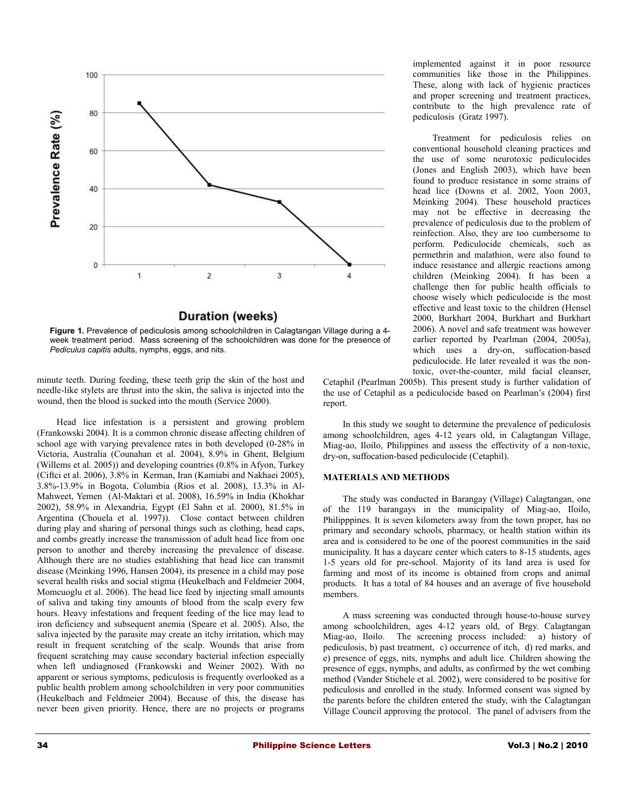

## **Duration (weeks)**



minute teeth. During feeding, these teeth grip the skin of the host and needle-like stylets are thrust into the skin, the saliva is injected into the wound, then the blood is sucked into the mouth (Service 2000).

Head lice infestation is a persistent and growing problem (Frankowski 2004). It is a common chronic disease affecting children of school age with varying prevalence rates in both developed (0-28% in Victoria, Australia (Counahan et al. 2004), 8.9% in Ghent, Belgium (Willems et al. 2005)) and developing countries (0.8% in Afyon, Turkey (Ciftci et al. 2006), 3.8% in Kerman, Iran (Kamiabi and Nakhaei 2005), 3.8%-13.9% in Bogota, Columbia (Rios et al. 2008), 13.3% in Al-Mahweet, Yemen (Al-Maktari et al. 2008), 16.59% in India (Khokhar 2002), 58.9% in Alexandria, Egypt (El Sahn et al. 2000), 81.5% in Argentina (Chouela et al. 1997)). Close contact between children during play and sharing of personal things such as clothing, head caps, and combs greatly increase the transmission of adult head lice from one person to another and thereby increasing the prevalence of disease. Although there are no studies establishing that head lice can transmit disease (Meinking 1996, Hansen 2004), its presence in a child may pose several health risks and social stigma (Heukelbach and Feldmeier 2004, Momcuoglu et al. 2006). The head lice feed by injecting small amounts of saliva and taking tiny amounts of blood from the scalp every few hours. Heavy infestations and frequent feeding of the lice may lead to iron deficiency and subsequent anemia (Speare et al. 2005). Also, the saliva injected by the parasite may create an itchy irritation, which may result in frequent scratching of the scalp. Wounds that arise from frequent scratching may cause secondary bacterial infection especially when left undiagnosed (Frankowski and Weiner 2002). With no apparent or serious symptoms, pediculosis is frequently overlooked as a public health problem among schoolchildren in very poor communities (Heukelbach and Feldmeier 2004). Because of this, the disease has never been given priority. Hence, there are no projects or programs

implemented against it in poor resource communities like those in the Philippines. These, along with lack of hygienic practices and proper screening and treatment practices, contribute to the high prevalence rate of pediculosis (Gratz 1997).

Treatment for pediculosis relies on conventional household cleaning practices and the use of some neurotoxic pediculocides (Jones and English 2003), which have been found to produce resistance in some strains of head lice (Downs et al. 2002, Yoon 2003, Meinking 2004). These household practices may not be effective in decreasing the prevalence of pediculosis due to the problem of reinfection. Also, they are too cumbersome to perform. Pediculocide chemicals, such as permethrin and malathion, were also found to induce resistance and allergic reactions among children (Meinking 2004). It has been a challenge then for public health officials to choose wisely which pediculocide is the most effective and least toxic to the children (Hensel 2000, Burkhart 2004, Burkhart and Burkhart 2006). A novel and safe treatment was however earlier reported by Pearlman (2004, 2005a), which uses a dry-on, suffocation-based pediculocide. He later revealed it was the nontoxic, over-the-counter, mild facial cleanser,

Cetaphil (Pearlman 2005b). This present study is further validation of the use of Cetaphil as a pediculocide based on Pearlman's (2004) first report.

In this study we sought to determine the prevalence of pediculosis among schoolchildren, ages 4-12 years old, in Calagtangan Village, Miag-ao, Iloilo, Philippines and assess the effectivity of a non-toxic, dry-on, suffocation-based pediculocide (Cetaphil).

#### **MATERIALS AND METHODS**

The study was conducted in Barangay (Village) Calagtangan, one of the 119 barangays in the municipality of Miag-ao, Iloilo, Philipppines. It is seven kilometers away from the town proper, has no primary and secondary schools, pharmacy, or health station within its area and is considered to be one of the poorest communities in the said municipality. It has a daycare center which caters to 8-15 students, ages 1-5 years old for pre-school. Majority of its land area is used for farming and most of its income is obtained from crops and animal products. It has a total of 84 houses and an average of five household members.

A mass screening was conducted through house-to-house survey among schoolchildren, ages 4-12 years old, of Brgy. Calagtangan Miag-ao, Iloilo. The screening process included: a) history of pediculosis, b) past treatment, c) occurrence of itch, d) red marks, and e) presence of eggs, nits, nymphs and adult lice. Children showing the presence of eggs, nymphs, and adults, as confirmed by the wet combing method (Vander Stichele et al. 2002), were considered to be positive for pediculosis and enrolled in the study. Informed consent was signed by the parents before the children entered the study, with the Calagtangan Village Council approving the protocol. The panel of advisers from the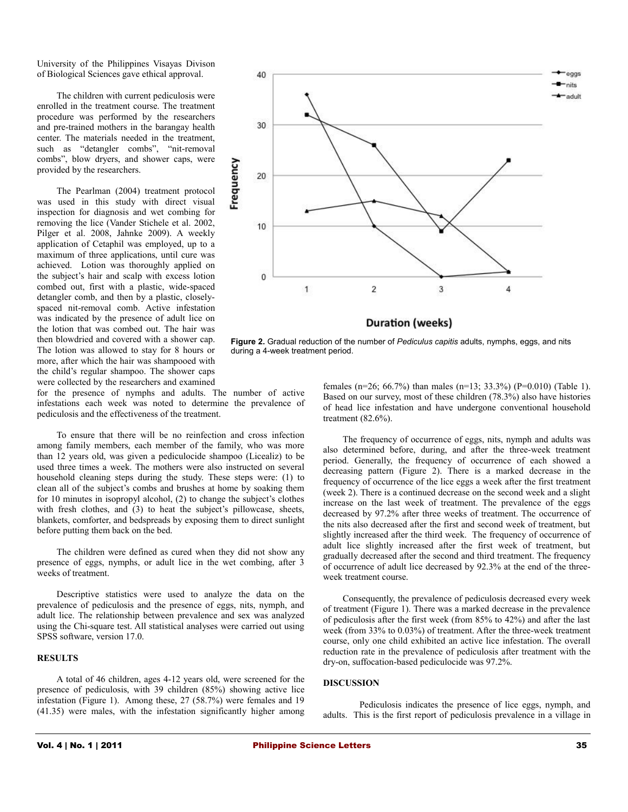University of the Philippines Visayas Divison of Biological Sciences gave ethical approval.

The children with current pediculosis were enrolled in the treatment course. The treatment procedure was performed by the researchers and pre-trained mothers in the barangay health center. The materials needed in the treatment, such as "detangler combs", "nit-removal combs", blow dryers, and shower caps, were provided by the researchers.

The Pearlman (2004) treatment protocol was used in this study with direct visual inspection for diagnosis and wet combing for removing the lice (Vander Stichele et al. 2002, Pilger et al. 2008, Jahnke 2009). A weekly application of Cetaphil was employed, up to a maximum of three applications, until cure was achieved. Lotion was thoroughly applied on the subject's hair and scalp with excess lotion combed out, first with a plastic, wide-spaced detangler comb, and then by a plastic, closelyspaced nit-removal comb. Active infestation was indicated by the presence of adult lice on the lotion that was combed out. The hair was then blowdried and covered with a shower cap. The lotion was allowed to stay for 8 hours or more, after which the hair was shampooed with the child's regular shampoo. The shower caps were collected by the researchers and examined



**Figure 2.** Gradual reduction of the number of *Pediculus capitis* adults, nymphs, eggs, and nits during a 4-week treatment period.

for the presence of nymphs and adults. The number of active infestations each week was noted to determine the prevalence of pediculosis and the effectiveness of the treatment.

To ensure that there will be no reinfection and cross infection among family members, each member of the family, who was more than 12 years old, was given a pediculocide shampoo (Licealiz) to be used three times a week. The mothers were also instructed on several household cleaning steps during the study. These steps were: (1) to clean all of the subject's combs and brushes at home by soaking them for 10 minutes in isopropyl alcohol, (2) to change the subject's clothes with fresh clothes, and (3) to heat the subject's pillowcase, sheets, blankets, comforter, and bedspreads by exposing them to direct sunlight before putting them back on the bed.

The children were defined as cured when they did not show any presence of eggs, nymphs, or adult lice in the wet combing, after 3 weeks of treatment.

Descriptive statistics were used to analyze the data on the prevalence of pediculosis and the presence of eggs, nits, nymph, and adult lice. The relationship between prevalence and sex was analyzed using the Chi-square test. All statistical analyses were carried out using SPSS software, version 17.0.

#### **RESULTS**

A total of 46 children, ages 4-12 years old, were screened for the presence of pediculosis, with 39 children (85%) showing active lice infestation (Figure 1). Among these, 27 (58.7%) were females and 19 (41.35) were males, with the infestation significantly higher among females (n=26; 66.7%) than males (n=13; 33.3%) (P=0.010) (Table 1). Based on our survey, most of these children (78.3%) also have histories of head lice infestation and have undergone conventional household treatment (82.6%).

The frequency of occurrence of eggs, nits, nymph and adults was also determined before, during, and after the three-week treatment period. Generally, the frequency of occurrence of each showed a decreasing pattern (Figure 2). There is a marked decrease in the frequency of occurrence of the lice eggs a week after the first treatment (week 2). There is a continued decrease on the second week and a slight increase on the last week of treatment. The prevalence of the eggs decreased by 97.2% after three weeks of treatment. The occurrence of the nits also decreased after the first and second week of treatment, but slightly increased after the third week. The frequency of occurrence of adult lice slightly increased after the first week of treatment, but gradually decreased after the second and third treatment. The frequency of occurrence of adult lice decreased by 92.3% at the end of the threeweek treatment course.

Consequently, the prevalence of pediculosis decreased every week of treatment (Figure 1). There was a marked decrease in the prevalence of pediculosis after the first week (from 85% to 42%) and after the last week (from 33% to 0.03%) of treatment. After the three-week treatment course, only one child exhibited an active lice infestation. The overall reduction rate in the prevalence of pediculosis after treatment with the dry-on, suffocation-based pediculocide was 97.2%.

#### **DISCUSSION**

Pediculosis indicates the presence of lice eggs, nymph, and adults. This is the first report of pediculosis prevalence in a village in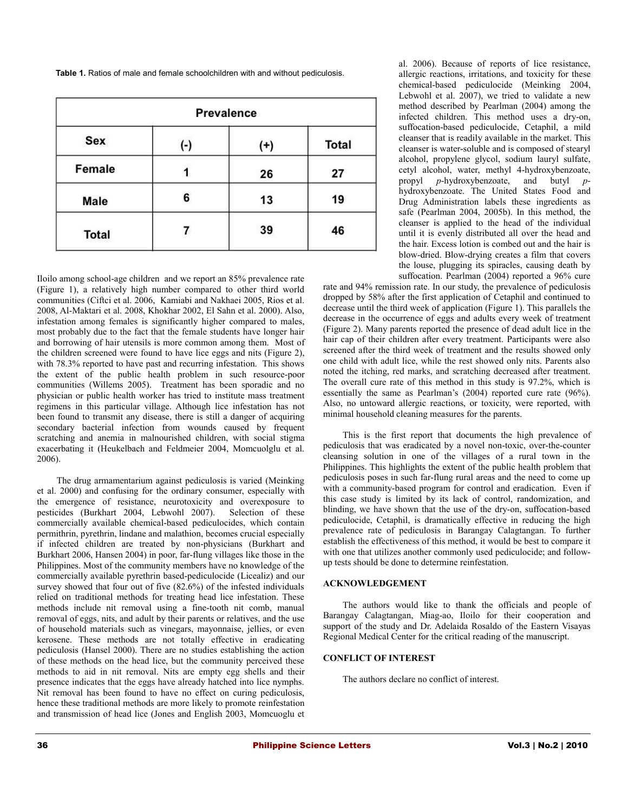**Table 1.** Ratios of male and female schoolchildren with and without pediculosis.

| <b>Prevalence</b> |     |          |              |
|-------------------|-----|----------|--------------|
| Sex               | (-) | $^{(+)}$ | <b>Total</b> |
| Female            |     | 26       | 27           |
| Male              | 6   | 13       | 19           |
| <b>Total</b>      |     | 39       | 46           |

Iloilo among school-age children and we report an 85% prevalence rate (Figure 1), a relatively high number compared to other third world communities (Ciftci et al. 2006, Kamiabi and Nakhaei 2005, Rios et al. 2008, Al-Maktari et al. 2008, Khokhar 2002, El Sahn et al. 2000). Also, infestation among females is significantly higher compared to males, most probably due to the fact that the female students have longer hair and borrowing of hair utensils is more common among them. Most of the children screened were found to have lice eggs and nits (Figure 2), with 78.3% reported to have past and recurring infestation. This shows the extent of the public health problem in such resource-poor communities (Willems 2005). Treatment has been sporadic and no physician or public health worker has tried to institute mass treatment regimens in this particular village. Although lice infestation has not been found to transmit any disease, there is still a danger of acquiring secondary bacterial infection from wounds caused by frequent scratching and anemia in malnourished children, with social stigma exacerbating it (Heukelbach and Feldmeier 2004, Momcuolglu et al. 2006).

The drug armamentarium against pediculosis is varied (Meinking et al. 2000) and confusing for the ordinary consumer, especially with the emergence of resistance, neurotoxicity and overexposure to pesticides (Burkhart 2004, Lebwohl 2007). Selection of these commercially available chemical-based pediculocides, which contain permithrin, pyrethrin, lindane and malathion, becomes crucial especially if infected children are treated by non-physicians (Burkhart and Burkhart 2006, Hansen 2004) in poor, far-flung villages like those in the Philippines. Most of the community members have no knowledge of the commercially available pyrethrin based-pediculocide (Licealiz) and our survey showed that four out of five (82.6%) of the infested individuals relied on traditional methods for treating head lice infestation. These methods include nit removal using a fine-tooth nit comb, manual removal of eggs, nits, and adult by their parents or relatives, and the use of household materials such as vinegars, mayonnaise, jellies, or even kerosene. These methods are not totally effective in eradicating pediculosis (Hansel 2000). There are no studies establishing the action of these methods on the head lice, but the community perceived these methods to aid in nit removal. Nits are empty egg shells and their presence indicates that the eggs have already hatched into lice nymphs. Nit removal has been found to have no effect on curing pediculosis, hence these traditional methods are more likely to promote reinfestation and transmission of head lice (Jones and English 2003, Momcuoglu et

al. 2006). Because of reports of lice resistance, allergic reactions, irritations, and toxicity for these chemical-based pediculocide (Meinking 2004, Lebwohl et al.  $2007$ ), we tried to validate a new method described by Pearlman (2004) among the infected children. This method uses a dry-on, suffocation-based pediculocide, Cetaphil, a mild cleanser that is readily available in the market. This cleanser is water-soluble and is composed of stearyl alcohol, propylene glycol, sodium lauryl sulfate, cetyl alcohol, water, methyl 4-hydroxybenzoate, propyl *p*-hydroxybenzoate, and butyl *p*hydroxybenzoate. The United States Food and Drug Administration labels these ingredients as safe (Pearlman 2004, 2005b). In this method, the cleanser is applied to the head of the individual until it is evenly distributed all over the head and the hair. Excess lotion is combed out and the hair is blow-dried. Blow-drying creates a film that covers the louse, plugging its spiracles, causing death by suffocation. Pearlman (2004) reported a 96% cure

rate and 94% remission rate. In our study, the prevalence of pediculosis dropped by 58% after the first application of Cetaphil and continued to decrease until the third week of application (Figure 1). This parallels the decrease in the occurrence of eggs and adults every week of treatment (Figure 2). Many parents reported the presence of dead adult lice in the hair cap of their children after every treatment. Participants were also screened after the third week of treatment and the results showed only one child with adult lice, while the rest showed only nits. Parents also noted the itching, red marks, and scratching decreased after treatment. The overall cure rate of this method in this study is 97.2%, which is essentially the same as Pearlman's (2004) reported cure rate (96%). Also, no untoward allergic reactions, or toxicity, were reported, with minimal household cleaning measures for the parents.

This is the first report that documents the high prevalence of pediculosis that was eradicated by a novel non-toxic, over-the-counter cleansing solution in one of the villages of a rural town in the Philippines. This highlights the extent of the public health problem that pediculosis poses in such far-flung rural areas and the need to come up with a community-based program for control and eradication. Even if this case study is limited by its lack of control, randomization, and blinding, we have shown that the use of the dry-on, suffocation-based pediculocide, Cetaphil, is dramatically effective in reducing the high prevalence rate of pediculosis in Barangay Calagtangan. To further establish the effectiveness of this method, it would be best to compare it with one that utilizes another commonly used pediculocide; and followup tests should be done to determine reinfestation.

#### **ACKNOWLEDGEMENT**

The authors would like to thank the officials and people of Barangay Calagtangan, Miag-ao, Iloilo for their cooperation and support of the study and Dr. Adelaida Rosaldo of the Eastern Visayas Regional Medical Center for the critical reading of the manuscript.

#### **CONFLICT OF INTEREST**

The authors declare no conflict of interest.